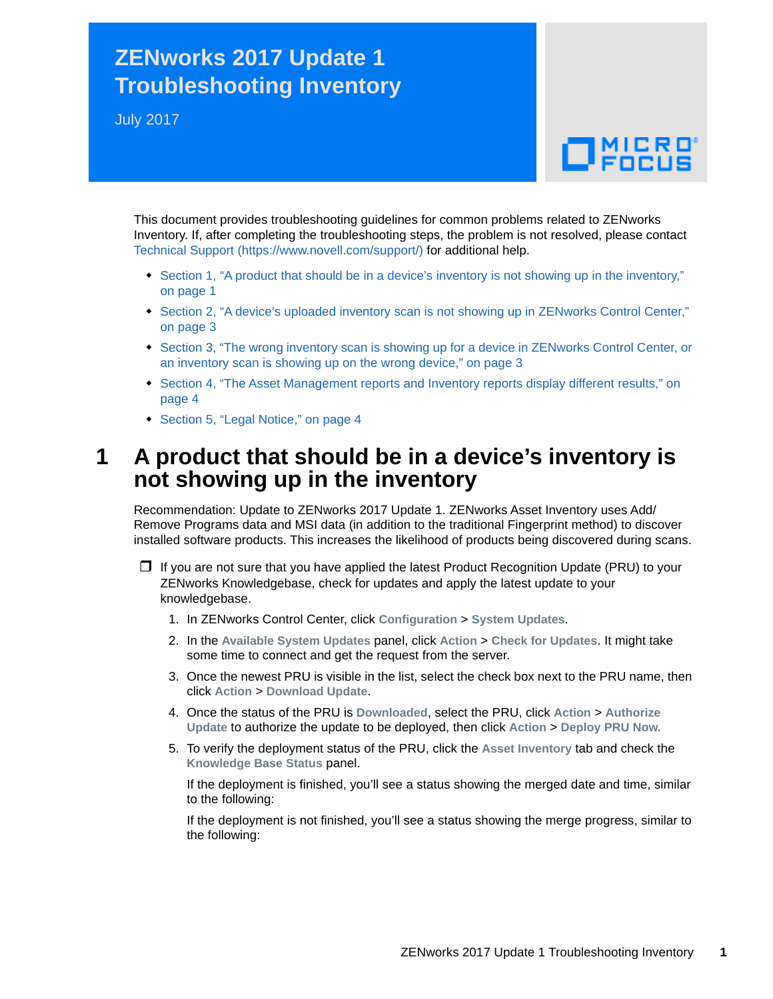## **ZENworks 2017 Update 1 Troubleshooting Inventory**

July 2017

# $\Box$ MICRO

This document provides troubleshooting guidelines for common problems related to ZENworks Inventory. If, after completing the troubleshooting steps, the problem is not resolved, please contact [Technical Support](https://www.novell.com/support/) (https://www.novell.com/support/) for additional help.

- Section 1, "A product that should be in a device's inventory is not showing up in the inventory," [on page 1](#page-0-0)
- [Section 2, "A device's uploaded inventory scan is not showing up in ZENworks Control Center,"](#page-2-0)  [on page 3](#page-2-0)
- [Section 3, "The wrong inventory scan is showing up for a device in ZENworks Control Center, or](#page-2-1)  [an inventory scan is showing up on the wrong device," on page 3](#page-2-1)
- Section 4, "The Asset Management reports and Inventory reports display different results," on [page 4](#page-3-0)
- ◆ [Section 5, "Legal Notice," on page 4](#page-3-1)

### <span id="page-0-0"></span>**1 A product that should be in a device's inventory is not showing up in the inventory**

Recommendation: Update to ZENworks 2017 Update 1. ZENworks Asset Inventory uses Add/ Remove Programs data and MSI data (in addition to the traditional Fingerprint method) to discover installed software products. This increases the likelihood of products being discovered during scans.

 $\Box$  If you are not sure that you have applied the latest Product Recognition Update (PRU) to your ZENworks Knowledgebase, check for updates and apply the latest update to your knowledgebase.

- 1. In ZENworks Control Center, click **Configuration** > **System Updates**.
- 2. In the **Available System Updates** panel, click **Action** > **Check for Updates**. It might take some time to connect and get the request from the server.
- 3. Once the newest PRU is visible in the list, select the check box next to the PRU name, then click **Action** > **Download Update**.
- 4. Once the status of the PRU is **Downloaded**, select the PRU, click **Action** > **Authorize Update** to authorize the update to be deployed, then click **Action** > **Deploy PRU Now.**
- 5. To verify the deployment status of the PRU, click the **Asset Inventory** tab and check the **Knowledge Base Status** panel.

If the deployment is finished, you'll see a status showing the merged date and time, similar to the following:

If the deployment is not finished, you'll see a status showing the merge progress, similar to the following: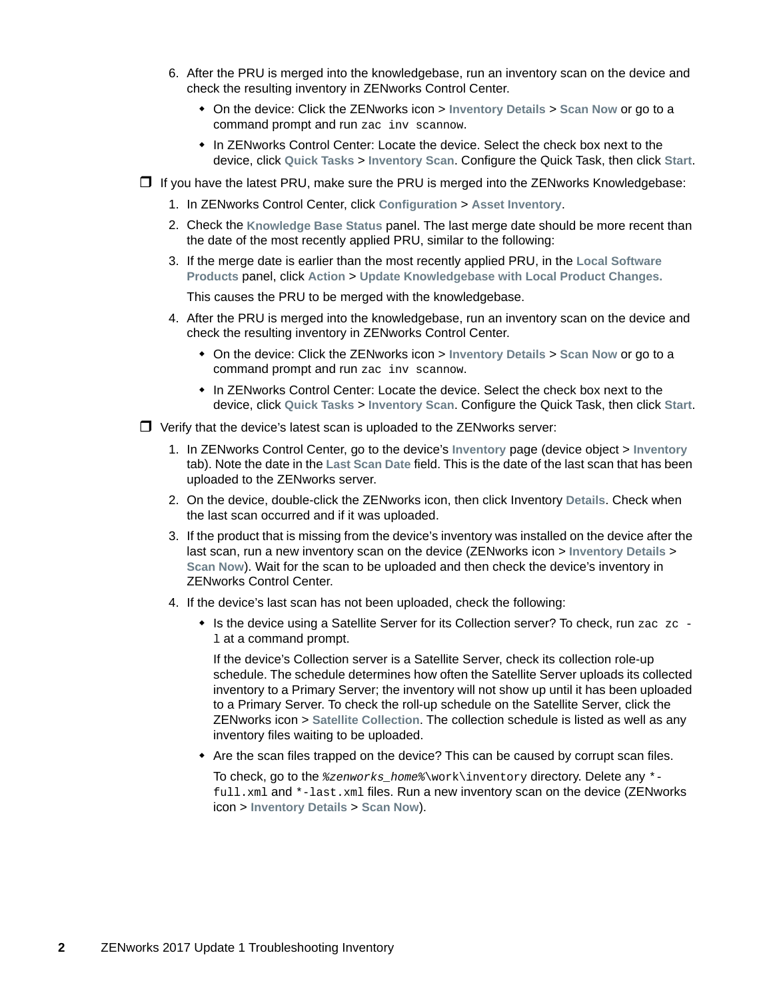- 6. After the PRU is merged into the knowledgebase, run an inventory scan on the device and check the resulting inventory in ZENworks Control Center.
	- On the device: Click the ZENworks icon > **Inventory Details** > **Scan Now** or go to a command prompt and run zac inv scannow.
	- In ZENworks Control Center: Locate the device. Select the check box next to the device, click **Quick Tasks** > **Inventory Scan**. Configure the Quick Task, then click **Start**.
- $\Box$  If you have the latest PRU, make sure the PRU is merged into the ZENworks Knowledgebase:
	- 1. In ZENworks Control Center, click **Configuration** > **Asset Inventory**.
	- 2. Check the **Knowledge Base Status** panel. The last merge date should be more recent than the date of the most recently applied PRU, similar to the following:
	- 3. If the merge date is earlier than the most recently applied PRU, in the **Local Software Products** panel, click **Action** > **Update Knowledgebase with Local Product Changes.**

This causes the PRU to be merged with the knowledgebase.

- 4. After the PRU is merged into the knowledgebase, run an inventory scan on the device and check the resulting inventory in ZENworks Control Center.
	- On the device: Click the ZENworks icon > **Inventory Details** > **Scan Now** or go to a command prompt and run zac inv scannow.
	- In ZENworks Control Center: Locate the device. Select the check box next to the device, click **Quick Tasks** > **Inventory Scan**. Configure the Quick Task, then click **Start**.
- $\Box$  Verify that the device's latest scan is uploaded to the ZENworks server:
	- 1. In ZENworks Control Center, go to the device's **Inventory** page (device object > **Inventory** tab). Note the date in the **Last Scan Date** field. This is the date of the last scan that has been uploaded to the ZENworks server.
	- 2. On the device, double-click the ZENworks icon, then click Inventory **Details**. Check when the last scan occurred and if it was uploaded.
	- 3. If the product that is missing from the device's inventory was installed on the device after the last scan, run a new inventory scan on the device (ZENworks icon > **Inventory Details** > **Scan Now**). Wait for the scan to be uploaded and then check the device's inventory in ZENworks Control Center.
	- 4. If the device's last scan has not been uploaded, check the following:
		- $\bullet$  Is the device using a Satellite Server for its Collection server? To check, run zac zc l at a command prompt.

If the device's Collection server is a Satellite Server, check its collection role-up schedule. The schedule determines how often the Satellite Server uploads its collected inventory to a Primary Server; the inventory will not show up until it has been uploaded to a Primary Server. To check the roll-up schedule on the Satellite Server, click the ZENworks icon > **Satellite Collection**. The collection schedule is listed as well as any inventory files waiting to be uploaded.

Are the scan files trapped on the device? This can be caused by corrupt scan files.

To check, go to the *%zenworks\_home%*\work\inventory directory. Delete any \* full.xml and \*-last.xml files. Run a new inventory scan on the device (ZENworks icon > **Inventory Details** > **Scan Now**).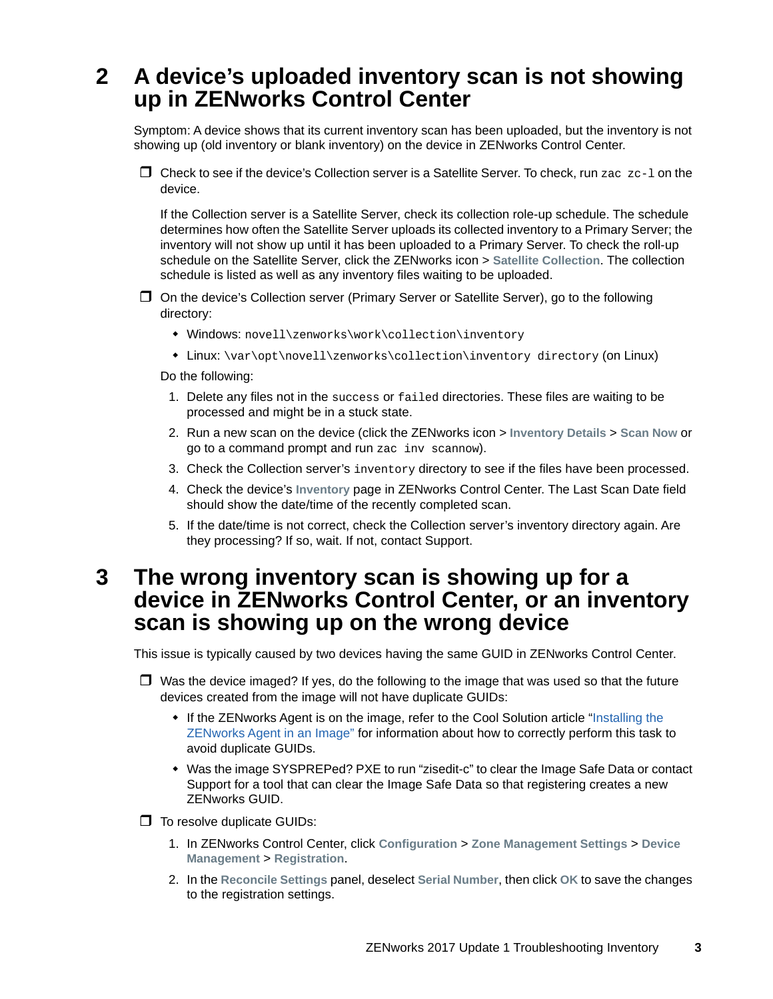## <span id="page-2-0"></span>**2 A device's uploaded inventory scan is not showing up in ZENworks Control Center**

Symptom: A device shows that its current inventory scan has been uploaded, but the inventory is not showing up (old inventory or blank inventory) on the device in ZENworks Control Center.

 $\Box$  Check to see if the device's Collection server is a Satellite Server. To check, run zac zc-1 on the device.

If the Collection server is a Satellite Server, check its collection role-up schedule. The schedule determines how often the Satellite Server uploads its collected inventory to a Primary Server; the inventory will not show up until it has been uploaded to a Primary Server. To check the roll-up schedule on the Satellite Server, click the ZENworks icon > **Satellite Collection**. The collection schedule is listed as well as any inventory files waiting to be uploaded.

- On the device's Collection server (Primary Server or Satellite Server), go to the following directory:
	- Windows: novell\zenworks\work\collection\inventory
	- Linux: \var\opt\novell\zenworks\collection\inventory directory (on Linux)

Do the following:

- 1. Delete any files not in the success or failed directories. These files are waiting to be processed and might be in a stuck state.
- 2. Run a new scan on the device (click the ZENworks icon > **Inventory Details** > **Scan Now** or go to a command prompt and run zac inv scannow).
- 3. Check the Collection server's inventory directory to see if the files have been processed.
- 4. Check the device's **Inventory** page in ZENworks Control Center. The Last Scan Date field should show the date/time of the recently completed scan.
- 5. If the date/time is not correct, check the Collection server's inventory directory again. Are they processing? If so, wait. If not, contact Support.

#### <span id="page-2-1"></span>**3 The wrong inventory scan is showing up for a device in ZENworks Control Center, or an inventory scan is showing up on the wrong device**

This issue is typically caused by two devices having the same GUID in ZENworks Control Center.

- $\Box$  Was the device imaged? If yes, do the following to the image that was used so that the future devices created from the image will not have duplicate GUIDs:
	- If the ZENworks Agent is on the image, refer to the Cool Solution article "Installing the [ZENworks Agent in an Image"](https://www.novell.com/communities/coolsolutions/cool_tools/zcm-imaging-installing-zen-adaptive-agent-image/) for information about how to correctly perform this task to avoid duplicate GUIDs.
	- Was the image SYSPREPed? PXE to run "zisedit-c" to clear the Image Safe Data or contact Support for a tool that can clear the Image Safe Data so that registering creates a new ZENworks GUID.

 $\Box$  To resolve duplicate GUIDs:

- 1. In ZENworks Control Center, click **Configuration** > **Zone Management Settings** > **Device Management** > **Registration**.
- 2. In the **Reconcile Settings** panel, deselect **Serial Number**, then click **OK** to save the changes to the registration settings.